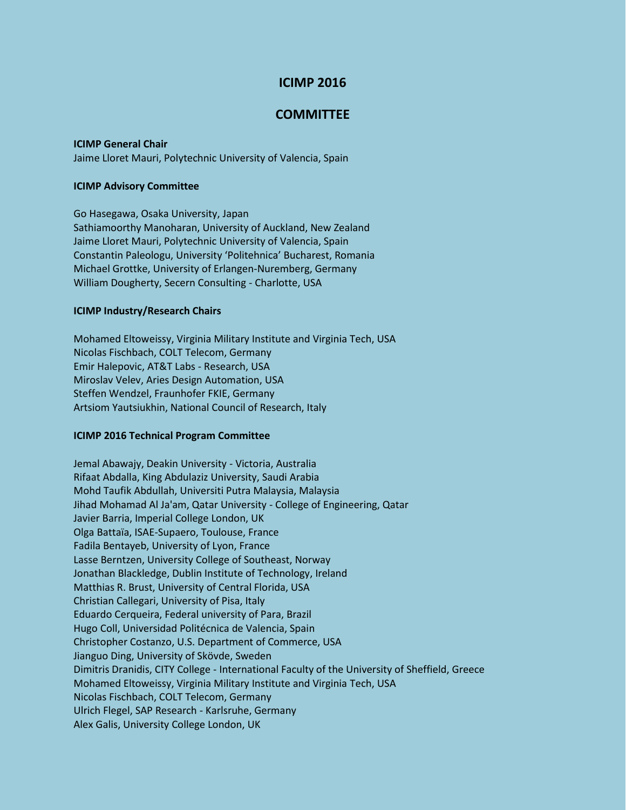# **ICIMP 2016**

# **COMMITTEE**

### **ICIMP General Chair**

Jaime Lloret Mauri, Polytechnic University of Valencia, Spain

#### **ICIMP Advisory Committee**

Go Hasegawa, Osaka University, Japan Sathiamoorthy Manoharan, University of Auckland, New Zealand Jaime Lloret Mauri, Polytechnic University of Valencia, Spain Constantin Paleologu, University 'Politehnica' Bucharest, Romania Michael Grottke, University of Erlangen-Nuremberg, Germany William Dougherty, Secern Consulting - Charlotte, USA

#### **ICIMP Industry/Research Chairs**

Mohamed Eltoweissy, Virginia Military Institute and Virginia Tech, USA Nicolas Fischbach, COLT Telecom, Germany Emir Halepovic, AT&T Labs - Research, USA Miroslav Velev, Aries Design Automation, USA Steffen Wendzel, Fraunhofer FKIE, Germany Artsiom Yautsiukhin, National Council of Research, Italy

### **ICIMP 2016 Technical Program Committee**

Jemal Abawajy, Deakin University - Victoria, Australia Rifaat Abdalla, King Abdulaziz University, Saudi Arabia Mohd Taufik Abdullah, Universiti Putra Malaysia, Malaysia Jihad Mohamad Al Ja'am, Qatar University - College of Engineering, Qatar Javier Barria, Imperial College London, UK Olga Battaïa, ISAE-Supaero, Toulouse, France Fadila Bentayeb, University of Lyon, France Lasse Berntzen, University College of Southeast, Norway Jonathan Blackledge, Dublin Institute of Technology, Ireland Matthias R. Brust, University of Central Florida, USA Christian Callegari, University of Pisa, Italy Eduardo Cerqueira, Federal university of Para, Brazil Hugo Coll, Universidad Politécnica de Valencia, Spain Christopher Costanzo, U.S. Department of Commerce, USA Jianguo Ding, University of Skövde, Sweden Dimitris Dranidis, CITY College - International Faculty of the University of Sheffield, Greece Mohamed Eltoweissy, Virginia Military Institute and Virginia Tech, USA Nicolas Fischbach, COLT Telecom, Germany Ulrich Flegel, SAP Research - Karlsruhe, Germany Alex Galis, University College London, UK